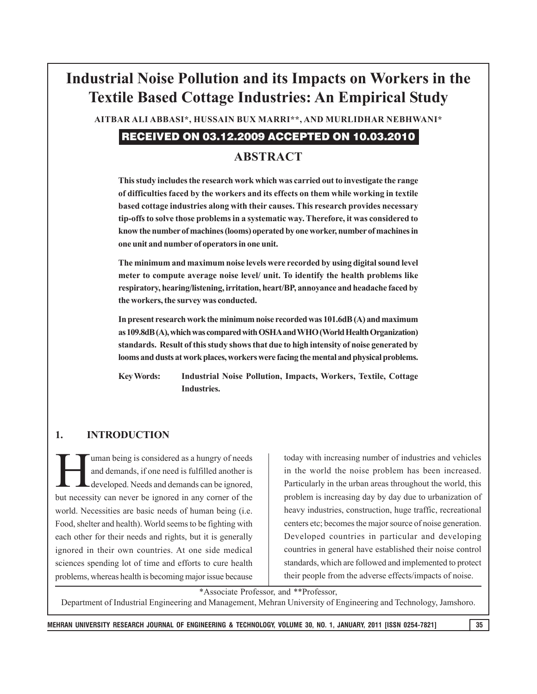# **Industrial Noise Pollution and its Impacts on Workers in the Textile Based Cottage Industries: An Empirical Study**

**AITBAR ALI ABBASI\*, HUSSAIN BUX MARRI\*\*, AND MURLIDHAR NEBHWANI\***

## RECEIVED ON 03.12.2009 ACCEPTED ON 10.03.2010

## **ABSTRACT**

**This study includes the research work which was carried out to investigate the range of difficulties faced by the workers and its effects on them while working in textile based cottage industries along with their causes. This research provides necessary tip-offs to solve those problems in a systematic way. Therefore, it was considered to know the number of machines (looms) operated by one worker, number of machines in one unit and number of operators in one unit.**

**The minimum and maximum noise levels were recorded by using digital sound level meter to compute average noise level/ unit. To identify the health problems like respiratory, hearing/listening, irritation, heart/BP, annoyance and headache faced by the workers, the survey was conducted.**

**In present research work the minimum noise recorded was 101.6dB (A) and maximum as 109.8dB (A), which was compared with OSHA and WHO (World Health Organization) standards. Result of this study shows that due to high intensity of noise generated by looms and dusts at work places, workers were facing the mental and physical problems.**

**Key Words: Industrial Noise Pollution, Impacts, Workers, Textile, Cottage Industries.**

#### **1. INTRODUCTION**

uman being is considered as a hungry of needs and demands, if one need is fulfilled another is developed. Needs and demands can be ignored, but necessity can never be ignored in any corner of the world. Necessities are basic needs of human being (i.e. Food, shelter and health). World seems to be fighting with each other for their needs and rights, but it is generally ignored in their own countries. At one side medical sciences spending lot of time and efforts to cure health problems, whereas health is becoming major issue because

today with increasing number of industries and vehicles in the world the noise problem has been increased. Particularly in the urban areas throughout the world, this problem is increasing day by day due to urbanization of heavy industries, construction, huge traffic, recreational centers etc; becomes the major source of noise generation. Developed countries in particular and developing countries in general have established their noise control standards, which are followed and implemented to protect their people from the adverse effects/impacts of noise.

\*Associate Professor, and \*\*Professor,

Department of Industrial Engineering and Management, Mehran University of Engineering and Technology, Jamshoro.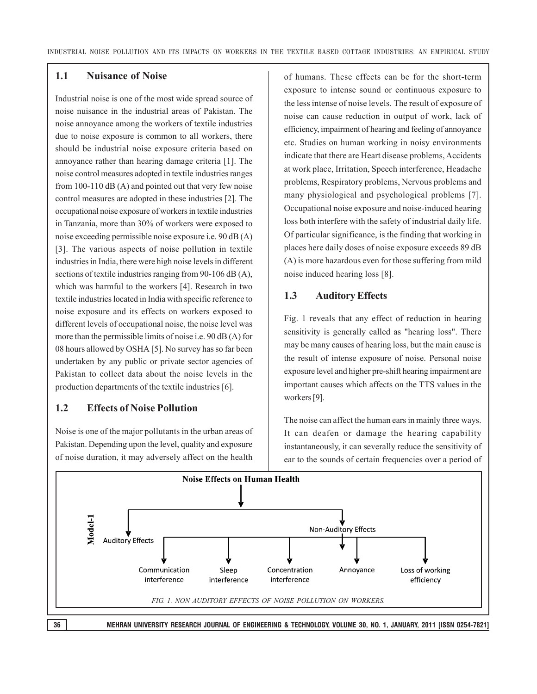#### **1.1 Nuisance of Noise**

Industrial noise is one of the most wide spread source of noise nuisance in the industrial areas of Pakistan. The noise annoyance among the workers of textile industries due to noise exposure is common to all workers, there should be industrial noise exposure criteria based on annoyance rather than hearing damage criteria [1]. The noise control measures adopted in textile industries ranges from 100-110 dB (A) and pointed out that very few noise control measures are adopted in these industries [2]. The occupational noise exposure of workers in textile industries in Tanzania, more than 30% of workers were exposed to noise exceeding permissible noise exposure i.e. 90 dB (A) [3]. The various aspects of noise pollution in textile industries in India, there were high noise levels in different sections of textile industries ranging from 90-106 dB (A), which was harmful to the workers [4]. Research in two textile industries located in India with specific reference to noise exposure and its effects on workers exposed to different levels of occupational noise, the noise level was more than the permissible limits of noise i.e. 90 dB (A) for 08 hours allowed by OSHA [5]. No survey has so far been undertaken by any public or private sector agencies of Pakistan to collect data about the noise levels in the production departments of the textile industries [6].

#### **1.2 Effects of Noise Pollution**

Noise is one of the major pollutants in the urban areas of Pakistan. Depending upon the level, quality and exposure of noise duration, it may adversely affect on the health of humans. These effects can be for the short-term exposure to intense sound or continuous exposure to the less intense of noise levels. The result of exposure of noise can cause reduction in output of work, lack of efficiency, impairment of hearing and feeling of annoyance etc. Studies on human working in noisy environments indicate that there are Heart disease problems, Accidents at work place, Irritation, Speech interference, Headache problems, Respiratory problems, Nervous problems and many physiological and psychological problems [7]. Occupational noise exposure and noise-induced hearing loss both interfere with the safety of industrial daily life. Of particular significance, is the finding that working in places here daily doses of noise exposure exceeds 89 dB (A) is more hazardous even for those suffering from mild noise induced hearing loss [8].

#### **1.3 Auditory Effects**

Fig. 1 reveals that any effect of reduction in hearing sensitivity is generally called as "hearing loss". There may be many causes of hearing loss, but the main cause is the result of intense exposure of noise. Personal noise exposure level and higher pre-shift hearing impairment are important causes which affects on the TTS values in the workers [9].

The noise can affect the human ears in mainly three ways. It can deafen or damage the hearing capability instantaneously, it can severally reduce the sensitivity of

ear to the sounds of certain frequencies over a period of **Noise Effects on Human Health** Model-1 Non-Auditory Effects Auditory Effects Communication Concentration Sleep Annoyance Loss of working interference interference interference efficiency *FIG. 1. NON AUDITORY EFFECTS OF NOISE POLLUTION ON WORKERS.*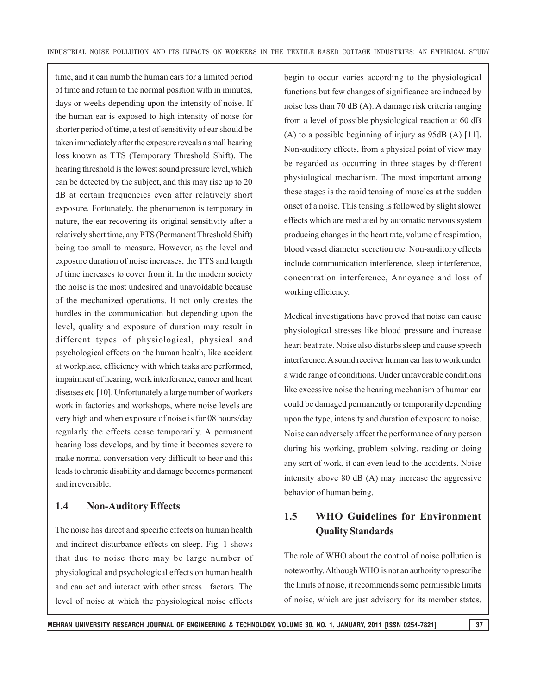time, and it can numb the human ears for a limited period of time and return to the normal position with in minutes, days or weeks depending upon the intensity of noise. If the human ear is exposed to high intensity of noise for shorter period of time, a test of sensitivity of ear should be taken immediately after the exposure reveals a small hearing loss known as TTS (Temporary Threshold Shift). The hearing threshold is the lowest sound pressure level, which can be detected by the subject, and this may rise up to 20 dB at certain frequencies even after relatively short exposure. Fortunately, the phenomenon is temporary in nature, the ear recovering its original sensitivity after a relatively short time, any PTS (Permanent Threshold Shift) being too small to measure. However, as the level and exposure duration of noise increases, the TTS and length of time increases to cover from it. In the modern society the noise is the most undesired and unavoidable because of the mechanized operations. It not only creates the hurdles in the communication but depending upon the level, quality and exposure of duration may result in different types of physiological, physical and psychological effects on the human health, like accident at workplace, efficiency with which tasks are performed, impairment of hearing, work interference, cancer and heart diseases etc [10]. Unfortunately a large number of workers work in factories and workshops, where noise levels are very high and when exposure of noise is for 08 hours/day regularly the effects cease temporarily. A permanent hearing loss develops, and by time it becomes severe to make normal conversation very difficult to hear and this leads to chronic disability and damage becomes permanent and irreversible.

#### **1.4 Non-Auditory Effects**

The noise has direct and specific effects on human health and indirect disturbance effects on sleep. Fig. 1 shows that due to noise there may be large number of physiological and psychological effects on human health and can act and interact with other stress factors. The level of noise at which the physiological noise effects begin to occur varies according to the physiological functions but few changes of significance are induced by noise less than 70 dB (A). A damage risk criteria ranging from a level of possible physiological reaction at 60 dB (A) to a possible beginning of injury as 95dB (A) [11]. Non-auditory effects, from a physical point of view may be regarded as occurring in three stages by different physiological mechanism. The most important among these stages is the rapid tensing of muscles at the sudden onset of a noise. This tensing is followed by slight slower effects which are mediated by automatic nervous system producing changes in the heart rate, volume of respiration, blood vessel diameter secretion etc. Non-auditory effects include communication interference, sleep interference, concentration interference, Annoyance and loss of working efficiency.

Medical investigations have proved that noise can cause physiological stresses like blood pressure and increase heart beat rate. Noise also disturbs sleep and cause speech interference. A sound receiver human ear has to work under a wide range of conditions. Under unfavorable conditions like excessive noise the hearing mechanism of human ear could be damaged permanently or temporarily depending upon the type, intensity and duration of exposure to noise. Noise can adversely affect the performance of any person during his working, problem solving, reading or doing any sort of work, it can even lead to the accidents. Noise intensity above 80 dB (A) may increase the aggressive behavior of human being.

## **1.5 WHO Guidelines for Environment Quality Standards**

The role of WHO about the control of noise pollution is noteworthy. Although WHO is not an authority to prescribe the limits of noise, it recommends some permissible limits of noise, which are just advisory for its member states.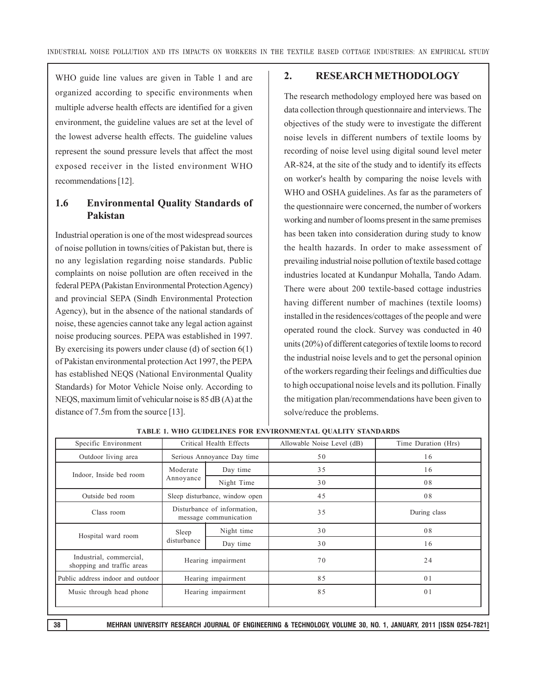WHO guide line values are given in Table 1 and are organized according to specific environments when multiple adverse health effects are identified for a given environment, the guideline values are set at the level of the lowest adverse health effects. The guideline values represent the sound pressure levels that affect the most exposed receiver in the listed environment WHO recommendations [12].

## **1.6 Environmental Quality Standards of Pakistan**

Industrial operation is one of the most widespread sources of noise pollution in towns/cities of Pakistan but, there is no any legislation regarding noise standards. Public complaints on noise pollution are often received in the federal PEPA (Pakistan Environmental Protection Agency) and provincial SEPA (Sindh Environmental Protection Agency), but in the absence of the national standards of noise, these agencies cannot take any legal action against noise producing sources. PEPA was established in 1997. By exercising its powers under clause (d) of section 6(1) of Pakistan environmental protection Act 1997, the PEPA has established NEQS (National Environmental Quality Standards) for Motor Vehicle Noise only. According to NEQS, maximum limit of vehicular noise is 85 dB (A) at the distance of 7.5m from the source [13].

#### **2. RESEARCH METHODOLOGY**

The research methodology employed here was based on data collection through questionnaire and interviews. The objectives of the study were to investigate the different noise levels in different numbers of textile looms by recording of noise level using digital sound level meter AR-824, at the site of the study and to identify its effects on worker's health by comparing the noise levels with WHO and OSHA guidelines. As far as the parameters of the questionnaire were concerned, the number of workers working and number of looms present in the same premises has been taken into consideration during study to know the health hazards. In order to make assessment of prevailing industrial noise pollution of textile based cottage industries located at Kundanpur Mohalla, Tando Adam. There were about 200 textile-based cottage industries having different number of machines (textile looms) installed in the residences/cottages of the people and were operated round the clock. Survey was conducted in 40 units (20%) of different categories of textile looms to record the industrial noise levels and to get the personal opinion of the workers regarding their feelings and difficulties due to high occupational noise levels and its pollution. Finally the mitigation plan/recommendations have been given to solve/reduce the problems.

| Specific Environment                                  | Critical Health Effects                              |            | Allowable Noise Level (dB) | Time Duration (Hrs) |
|-------------------------------------------------------|------------------------------------------------------|------------|----------------------------|---------------------|
| Outdoor living area                                   | Serious Annoyance Day time                           |            | 50                         | 16                  |
| Indoor, Inside bed room                               | Moderate<br>Annoyance                                | Day time   | 35                         | 16                  |
|                                                       |                                                      | Night Time | 30                         | 08                  |
| Outside bed room                                      | Sleep disturbance, window open                       |            | 45                         | 08                  |
| Class room                                            | Disturbance of information,<br>message communication |            | 35                         | During class        |
| Hospital ward room                                    | Sleep<br>disturbance                                 | Night time | 30                         | 08                  |
|                                                       |                                                      | Day time   | 30                         | 16                  |
| Industrial, commercial,<br>shopping and traffic areas | Hearing impairment                                   |            | 70                         | 24                  |
| Public address indoor and outdoor                     | Hearing impairment                                   |            | 85                         | 01                  |
| Music through head phone                              | Hearing impairment                                   |            | 85                         | 0 <sub>1</sub>      |

**TABLE 1. WHO GUIDELINES FOR ENVIRONMENTAL QUALITY STANDARDS**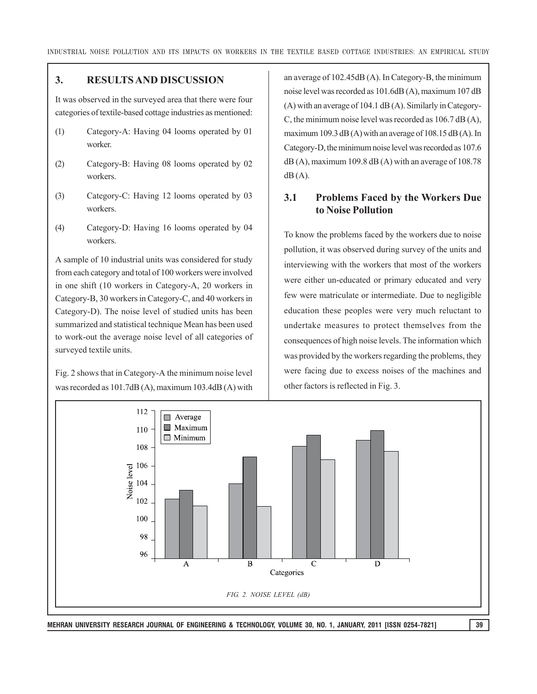#### **3. RESULTS AND DISCUSSION**

It was observed in the surveyed area that there were four categories of textile-based cottage industries as mentioned:

- (1) Category-A: Having 04 looms operated by 01 worker.
- (2) Category-B: Having 08 looms operated by 02 workers.
- (3) Category-C: Having 12 looms operated by 03 workers.
- (4) Category-D: Having 16 looms operated by 04 workers.

A sample of 10 industrial units was considered for study from each category and total of 100 workers were involved in one shift (10 workers in Category-A, 20 workers in Category-B, 30 workers in Category-C, and 40 workers in Category-D). The noise level of studied units has been summarized and statistical technique Mean has been used to work-out the average noise level of all categories of surveyed textile units.

Fig. 2 shows that in Category-A the minimum noise level was recorded as 101.7dB (A), maximum 103.4dB (A) with an average of 102.45dB (A). In Category-B, the minimum noise level was recorded as 101.6dB (A), maximum 107 dB (A) with an average of 104.1 dB (A). Similarly in Category-C, the minimum noise level was recorded as 106.7 dB (A), maximum 109.3 dB  $(A)$  with an average of 108.15 dB  $(A)$ . In Category-D, the minimum noise level was recorded as 107.6  $dB(A)$ , maximum 109.8  $dB(A)$  with an average of 108.78  $dB(A)$ .

#### **3.1 Problems Faced by the Workers Due to Noise Pollution**

To know the problems faced by the workers due to noise pollution, it was observed during survey of the units and interviewing with the workers that most of the workers were either un-educated or primary educated and very few were matriculate or intermediate. Due to negligible education these peoples were very much reluctant to undertake measures to protect themselves from the consequences of high noise levels. The information which was provided by the workers regarding the problems, they were facing due to excess noises of the machines and other factors is reflected in Fig. 3.



**MEHRAN UNIVERSITY RESEARCH JOURNAL OF ENGINEERING & TECHNOLOGY, VOLUME 30, NO. 1, JANUARY, 2011 [ISSN 0254-7821] 39**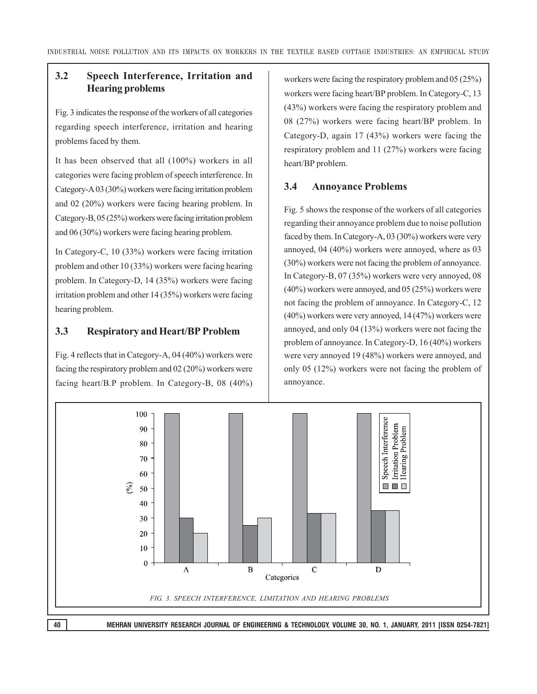# **3.2 Speech Interference, Irritation and Hearing problems**

Fig. 3 indicates the response of the workers of all categories regarding speech interference, irritation and hearing problems faced by them.

It has been observed that all (100%) workers in all categories were facing problem of speech interference. In Category-A 03 (30%) workers were facing irritation problem and 02 (20%) workers were facing hearing problem. In Category-B, 05 (25%) workers were facing irritation problem and 06 (30%) workers were facing hearing problem.

In Category-C, 10 (33%) workers were facing irritation problem and other 10 (33%) workers were facing hearing problem. In Category-D, 14 (35%) workers were facing irritation problem and other 14 (35%) workers were facing hearing problem.

## **3.3 Respiratory and Heart/BP Problem**

Fig. 4 reflects that in Category-A, 04 (40%) workers were facing the respiratory problem and 02 (20%) workers were facing heart/B.P problem. In Category-B, 08 (40%) workers were facing the respiratory problem and 05 (25%) workers were facing heart/BP problem. In Category-C, 13 (43%) workers were facing the respiratory problem and 08 (27%) workers were facing heart/BP problem. In Category-D, again 17 (43%) workers were facing the respiratory problem and 11 (27%) workers were facing heart/BP problem.

## **3.4 Annoyance Problems**

Fig. 5 shows the response of the workers of all categories regarding their annoyance problem due to noise pollution faced by them. In Category-A, 03 (30%) workers were very annoyed, 04 (40%) workers were annoyed, where as 03 (30%) workers were not facing the problem of annoyance. In Category-B, 07 (35%) workers were very annoyed, 08 (40%) workers were annoyed, and 05 (25%) workers were not facing the problem of annoyance. In Category-C, 12 (40%) workers were very annoyed, 14 (47%) workers were annoyed, and only 04 (13%) workers were not facing the problem of annoyance. In Category-D, 16 (40%) workers were very annoyed 19 (48%) workers were annoyed, and only 05 (12%) workers were not facing the problem of annoyance.

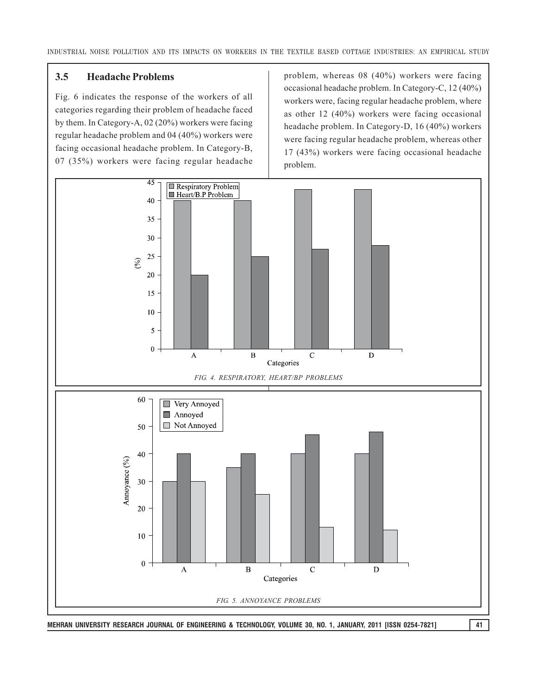#### **3.5 Headache Problems**

Fig. 6 indicates the response of the workers of all categories regarding their problem of headache faced by them. In Category-A, 02 (20%) workers were facing regular headache problem and 04 (40%) workers were facing occasional headache problem. In Category-B, 07 (35%) workers were facing regular headache problem, whereas 08 (40%) workers were facing occasional headache problem. In Category-C, 12 (40%) workers were, facing regular headache problem, where as other 12 (40%) workers were facing occasional headache problem. In Category-D, 16 (40%) workers were facing regular headache problem, whereas other 17 (43%) workers were facing occasional headache problem.

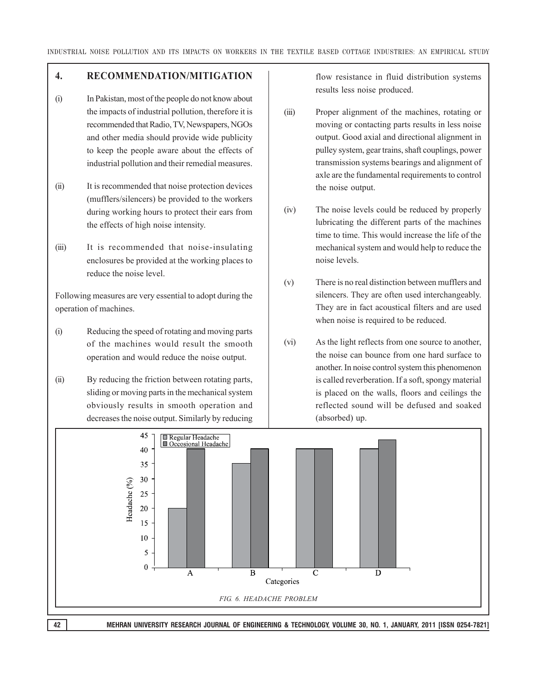## **4. RECOMMENDATION/MITIGATION**

- (i) In Pakistan, most of the people do not know about the impacts of industrial pollution, therefore it is recommended that Radio, TV, Newspapers, NGOs and other media should provide wide publicity to keep the people aware about the effects of industrial pollution and their remedial measures.
- (ii) It is recommended that noise protection devices (mufflers/silencers) be provided to the workers during working hours to protect their ears from the effects of high noise intensity.
- (iii) It is recommended that noise-insulating enclosures be provided at the working places to reduce the noise level.

Following measures are very essential to adopt during the operation of machines.

- (i) Reducing the speed of rotating and moving parts of the machines would result the smooth operation and would reduce the noise output.
- (ii) By reducing the friction between rotating parts, sliding or moving parts in the mechanical system obviously results in smooth operation and decreases the noise output. Similarly by reducing

flow resistance in fluid distribution systems results less noise produced.

- (iii) Proper alignment of the machines, rotating or moving or contacting parts results in less noise output. Good axial and directional alignment in pulley system, gear trains, shaft couplings, power transmission systems bearings and alignment of axle are the fundamental requirements to control the noise output.
- (iv) The noise levels could be reduced by properly lubricating the different parts of the machines time to time. This would increase the life of the mechanical system and would help to reduce the noise levels.
- (v) There is no real distinction between mufflers and silencers. They are often used interchangeably. They are in fact acoustical filters and are used when noise is required to be reduced.
- (vi) As the light reflects from one source to another, the noise can bounce from one hard surface to another. In noise control system this phenomenon is called reverberation. If a soft, spongy material is placed on the walls, floors and ceilings the reflected sound will be defused and soaked (absorbed) up.

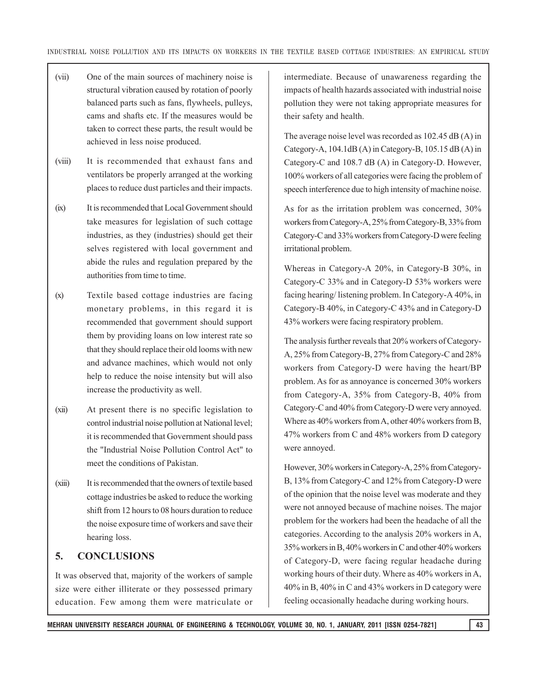- (vii) One of the main sources of machinery noise is structural vibration caused by rotation of poorly balanced parts such as fans, flywheels, pulleys, cams and shafts etc. If the measures would be taken to correct these parts, the result would be achieved in less noise produced.
- (viii) It is recommended that exhaust fans and ventilators be properly arranged at the working places to reduce dust particles and their impacts.
- (ix) It is recommended that Local Government should take measures for legislation of such cottage industries, as they (industries) should get their selves registered with local government and abide the rules and regulation prepared by the authorities from time to time.
- (x) Textile based cottage industries are facing monetary problems, in this regard it is recommended that government should support them by providing loans on low interest rate so that they should replace their old looms with new and advance machines, which would not only help to reduce the noise intensity but will also increase the productivity as well.
- (xii) At present there is no specific legislation to control industrial noise pollution at National level; it is recommended that Government should pass the "Industrial Noise Pollution Control Act" to meet the conditions of Pakistan.
- (xiii) It is recommended that the owners of textile based cottage industries be asked to reduce the working shift from 12 hours to 08 hours duration to reduce the noise exposure time of workers and save their hearing loss.

## **5. CONCLUSIONS**

It was observed that, majority of the workers of sample size were either illiterate or they possessed primary education. Few among them were matriculate or intermediate. Because of unawareness regarding the impacts of health hazards associated with industrial noise pollution they were not taking appropriate measures for their safety and health.

The average noise level was recorded as 102.45 dB (A) in Category-A,  $104.1dB$  (A) in Category-B,  $105.15dB$  (A) in Category-C and 108.7 dB (A) in Category-D. However, 100% workers of all categories were facing the problem of speech interference due to high intensity of machine noise.

As for as the irritation problem was concerned, 30% workers from Category-A, 25% from Category-B, 33% from Category-C and 33% workers from Category-D were feeling irritational problem.

Whereas in Category-A 20%, in Category-B 30%, in Category-C 33% and in Category-D 53% workers were facing hearing/ listening problem. In Category-A 40%, in Category-B 40%, in Category-C 43% and in Category-D 43% workers were facing respiratory problem.

The analysis further reveals that 20% workers of Category-A, 25% from Category-B, 27% from Category-C and 28% workers from Category-D were having the heart/BP problem. As for as annoyance is concerned 30% workers from Category-A, 35% from Category-B, 40% from Category-C and 40% from Category-D were very annoyed. Where as 40% workers from A, other 40% workers from B, 47% workers from C and 48% workers from D category were annoyed.

However, 30% workers in Category-A, 25% from Category-B, 13% from Category-C and 12% from Category-D were of the opinion that the noise level was moderate and they were not annoyed because of machine noises. The major problem for the workers had been the headache of all the categories. According to the analysis 20% workers in A, 35% workers in B, 40% workers in C and other 40% workers of Category-D, were facing regular headache during working hours of their duty. Where as 40% workers in A, 40% in B, 40% in C and 43% workers in D category were feeling occasionally headache during working hours.